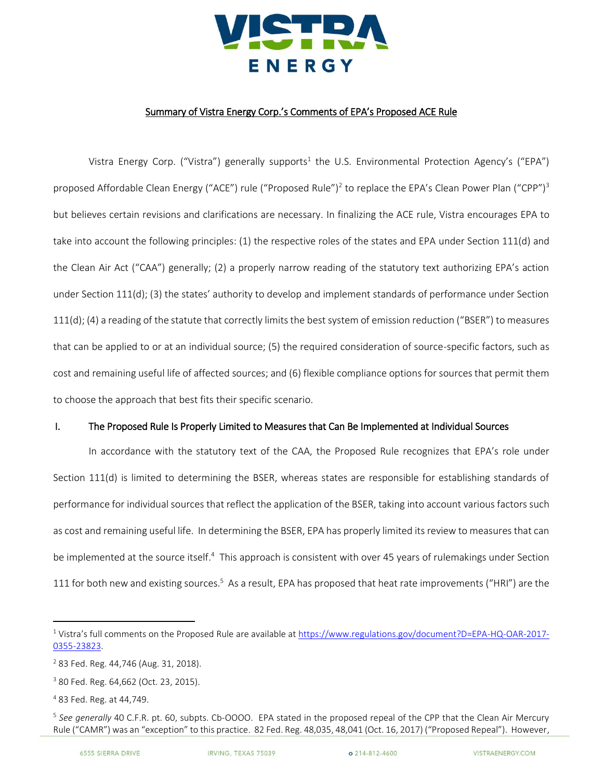

## Summary of Vistra Energy Corp.'s Comments of EPA's Proposed ACE Rule

Vistra Energy Corp. ("Vistra") generally supports<sup>1</sup> the U.S. Environmental Protection Agency's ("EPA") proposed Affordable Clean Energy ("ACE") rule ("Proposed Rule")<sup>2</sup> to replace the EPA's Clean Power Plan ("CPP")<sup>3</sup> but believes certain revisions and clarifications are necessary. In finalizing the ACE rule, Vistra encourages EPA to take into account the following principles: (1) the respective roles of the states and EPA under Section 111(d) and the Clean Air Act ("CAA") generally; (2) a properly narrow reading of the statutory text authorizing EPA's action under Section 111(d); (3) the states' authority to develop and implement standards of performance under Section 111(d); (4) a reading of the statute that correctly limits the best system of emission reduction ("BSER") to measures that can be applied to or at an individual source; (5) the required consideration of source-specific factors, such as cost and remaining useful life of affected sources; and (6) flexible compliance options for sources that permit them to choose the approach that best fits their specific scenario.

## I. The Proposed Rule Is Properly Limited to Measures that Can Be Implemented at Individual Sources

In accordance with the statutory text of the CAA, the Proposed Rule recognizes that EPA's role under Section 111(d) is limited to determining the BSER, whereas states are responsible for establishing standards of performance for individual sources that reflect the application of the BSER, taking into account various factors such as cost and remaining useful life. In determining the BSER, EPA has properly limited its review to measures that can be implemented at the source itself.<sup>4</sup> This approach is consistent with over 45 years of rulemakings under Section 111 for both new and existing sources.<sup>5</sup> As a result, EPA has proposed that heat rate improvements ("HRI") are the

l

<sup>1</sup> Vistra's full comments on the Proposed Rule are available at [https://www.regulations.gov/document?D=EPA-HQ-OAR-2017-](https://www.regulations.gov/document?D=EPA-HQ-OAR-2017-0355-23823) [0355-23823.](https://www.regulations.gov/document?D=EPA-HQ-OAR-2017-0355-23823)

<sup>2</sup> 83 Fed. Reg. 44,746 (Aug. 31, 2018).

<sup>3</sup> 80 Fed. Reg. 64,662 (Oct. 23, 2015).

<sup>4</sup> 83 Fed. Reg. at 44,749.

<sup>&</sup>lt;sup>5</sup> See generally 40 C.F.R. pt. 60, subpts. Cb-OOOO. EPA stated in the proposed repeal of the CPP that the Clean Air Mercury Rule ("CAMR") was an "exception" to this practice. 82 Fed. Reg. 48,035, 48,041 (Oct. 16, 2017) ("Proposed Repeal"). However,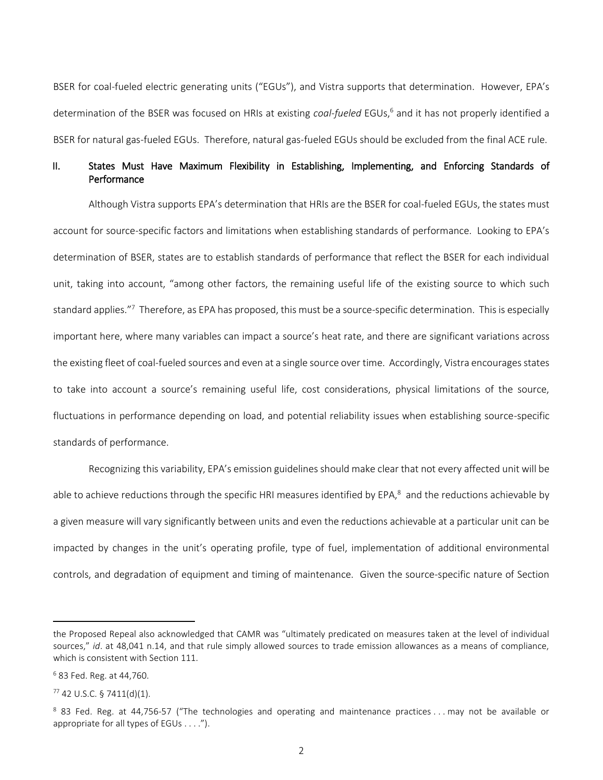BSER for coal-fueled electric generating units ("EGUs"), and Vistra supports that determination. However, EPA's determination of the BSER was focused on HRIs at existing *coal-fueled* EGUs,<sup>6</sup> and it has not properly identified a BSER for natural gas-fueled EGUs. Therefore, natural gas-fueled EGUs should be excluded from the final ACE rule.

## II. States Must Have Maximum Flexibility in Establishing, Implementing, and Enforcing Standards of Performance

Although Vistra supports EPA's determination that HRIs are the BSER for coal-fueled EGUs, the states must account for source-specific factors and limitations when establishing standards of performance. Looking to EPA's determination of BSER, states are to establish standards of performance that reflect the BSER for each individual unit, taking into account, "among other factors, the remaining useful life of the existing source to which such standard applies."<sup>7</sup> Therefore, as EPA has proposed, this must be a source-specific determination. This is especially important here, where many variables can impact a source's heat rate, and there are significant variations across the existing fleet of coal-fueled sources and even at a single source over time. Accordingly, Vistra encourages states to take into account a source's remaining useful life, cost considerations, physical limitations of the source, fluctuations in performance depending on load, and potential reliability issues when establishing source-specific standards of performance.

Recognizing this variability, EPA's emission guidelines should make clear that not every affected unit will be able to achieve reductions through the specific HRI measures identified by EPA,<sup>8</sup> and the reductions achievable by a given measure will vary significantly between units and even the reductions achievable at a particular unit can be impacted by changes in the unit's operating profile, type of fuel, implementation of additional environmental controls, and degradation of equipment and timing of maintenance. Given the source-specific nature of Section

l

the Proposed Repeal also acknowledged that CAMR was "ultimately predicated on measures taken at the level of individual sources," *id*. at 48,041 n.14, and that rule simply allowed sources to trade emission allowances as a means of compliance, which is consistent with Section 111.

<sup>6</sup> 83 Fed. Reg. at 44,760.

 $77$  42 U.S.C. § 7411(d)(1).

<sup>&</sup>lt;sup>8</sup> 83 Fed. Reg. at 44,756-57 ("The technologies and operating and maintenance practices ... may not be available or appropriate for all types of EGUs . . . .").